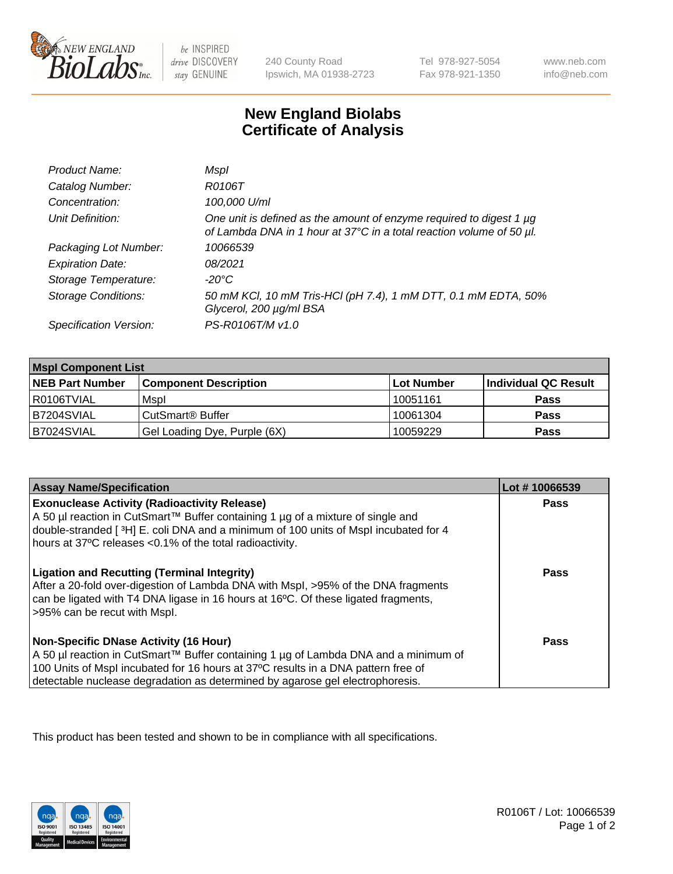

 $be$  INSPIRED drive DISCOVERY stay GENUINE

240 County Road Ipswich, MA 01938-2723 Tel 978-927-5054 Fax 978-921-1350

www.neb.com info@neb.com

## **New England Biolabs Certificate of Analysis**

| Product Name:              | Mspl                                                                                                                                             |
|----------------------------|--------------------------------------------------------------------------------------------------------------------------------------------------|
| Catalog Number:            | R0106T                                                                                                                                           |
| Concentration:             | 100,000 U/ml                                                                                                                                     |
| Unit Definition:           | One unit is defined as the amount of enzyme required to digest 1 $\mu$ g<br>of Lambda DNA in 1 hour at 37°C in a total reaction volume of 50 µl. |
| Packaging Lot Number:      | 10066539                                                                                                                                         |
| <b>Expiration Date:</b>    | 08/2021                                                                                                                                          |
| Storage Temperature:       | -20°C                                                                                                                                            |
| <b>Storage Conditions:</b> | 50 mM KCl, 10 mM Tris-HCl (pH 7.4), 1 mM DTT, 0.1 mM EDTA, 50%<br>Glycerol, 200 µg/ml BSA                                                        |
| Specification Version:     | PS-R0106T/M v1.0                                                                                                                                 |

| <b>Mspl Component List</b> |                              |            |                      |  |
|----------------------------|------------------------------|------------|----------------------|--|
| <b>NEB Part Number</b>     | <b>Component Description</b> | Lot Number | Individual QC Result |  |
| I R0106TVIAL               | Mspl                         | 10051161   | <b>Pass</b>          |  |
| B7204SVIAL                 | CutSmart <sup>®</sup> Buffer | 10061304   | <b>Pass</b>          |  |
| B7024SVIAL                 | Gel Loading Dye, Purple (6X) | 10059229   | <b>Pass</b>          |  |

| <b>Assay Name/Specification</b>                                                                                                                                                                                                                                                                             | Lot #10066539 |
|-------------------------------------------------------------------------------------------------------------------------------------------------------------------------------------------------------------------------------------------------------------------------------------------------------------|---------------|
| <b>Exonuclease Activity (Radioactivity Release)</b><br>A 50 µl reaction in CutSmart™ Buffer containing 1 µg of a mixture of single and<br>double-stranded [3H] E. coli DNA and a minimum of 100 units of Mspl incubated for 4<br>hours at 37°C releases <0.1% of the total radioactivity.                   | Pass          |
| <b>Ligation and Recutting (Terminal Integrity)</b><br>After a 20-fold over-digestion of Lambda DNA with Mspl, >95% of the DNA fragments<br>can be ligated with T4 DNA ligase in 16 hours at 16 <sup>o</sup> C. Of these ligated fragments,<br>>95% can be recut with Mspl.                                  | Pass          |
| <b>Non-Specific DNase Activity (16 Hour)</b><br>  A 50 µl reaction in CutSmart™ Buffer containing 1 µg of Lambda DNA and a minimum of<br>100 Units of Mspl incubated for 16 hours at 37°C results in a DNA pattern free of<br>detectable nuclease degradation as determined by agarose gel electrophoresis. | Pass          |

This product has been tested and shown to be in compliance with all specifications.